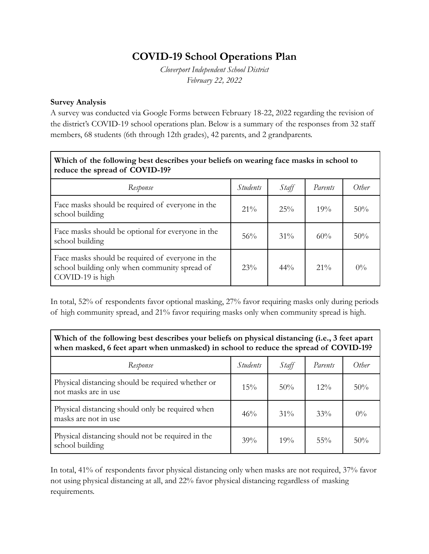## **COVID-19 School Operations Plan**

*Cloverport Independent School District February 22, 2022*

## **Survey Analysis**

A survey was conducted via Google Forms between February 18-22, 2022 regarding the revision of the district's COVID-19 school operations plan. Below is a summary of the responses from 32 staff members, 68 students (6th through 12th grades), 42 parents, and 2 grandparents.

| Which of the following best describes your beliefs on wearing face masks in school to<br>reduce the spread of COVID-19? |                 |        |         |       |  |  |
|-------------------------------------------------------------------------------------------------------------------------|-----------------|--------|---------|-------|--|--|
| Response                                                                                                                | <i>Students</i> | Staff  | Parents | Other |  |  |
| Face masks should be required of everyone in the<br>school building                                                     | $21\%$          | 25%    | 19%     | 50%   |  |  |
| Face masks should be optional for everyone in the<br>school building                                                    | 56%             | $31\%$ | 60%     | 50%   |  |  |
| Face masks should be required of everyone in the<br>school building only when community spread of<br>COVID-19 is high   | 23%             | $44\%$ | $21\%$  | $0\%$ |  |  |

In total, 52% of respondents favor optional masking, 27% favor requiring masks only during periods of high community spread, and 21% favor requiring masks only when community spread is high.

**Which of the following best describes your beliefs on physical distancing (i.e., 3 feet apart when masked, 6 feet apart when unmasked) in school to reduce the spread of COVID-19?**

| Response                                                                  | <i>Students</i> | Staff  | Parents | Other |
|---------------------------------------------------------------------------|-----------------|--------|---------|-------|
| Physical distancing should be required whether or<br>not masks are in use | 15%             | 50%    | $12\%$  | 50%   |
| Physical distancing should only be required when<br>masks are not in use  | 46%             | $31\%$ | 33%     | $0\%$ |
| Physical distancing should not be required in the<br>school building      | 39%             | 19%    | $55\%$  | 50%   |

In total, 41% of respondents favor physical distancing only when masks are not required, 37% favor not using physical distancing at all, and 22% favor physical distancing regardless of masking requirements.